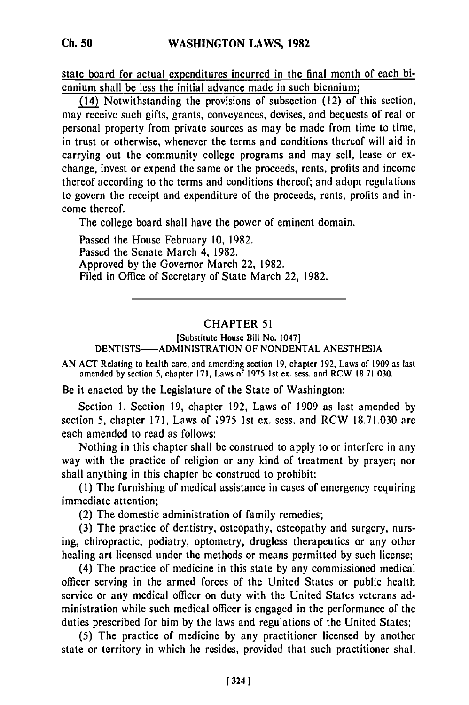state board for actual expenditures incurred in the final month of each biennium shall be less the initial advance made in such biennium;

(14) Notwithstanding the provisions of subsection (12) of this section, may receive such gifts, grants, conveyances, devises, and bequests of real or personal property from private sources as may be made from time to time, in trust or otherwise, whenever the terms and conditions thereof will aid in carrying out the community college programs and may sell, lease or exchange, invest or expend the same or the proceeds, rents, profits and income thereof according to the terms and conditions thereof; and adopt regulations to govern the receipt and expenditure of the proceeds, rents, profits and income thereof.

The college board shall have the power of eminent domain.

Passed the House February 10, 1982. Passed the Senate March 4, **1982.** Approved **by** the Governor March 22, **1982.** Filed in Office of Secretary of State March 22, 1982.

## CHAPTER **51**

[Substitute House Bill No. 1047] DENTISTS-ADMINISTRATION OF NONDENTAL ANESTHESIA

AN ACT Relating to health care; and amending section **19,** chapter **192,** Laws of 1909 as last amended **by** section **5,** chapter **171,** Laws of **1975** 1st ex. sess. and RCW **18.71.030.**

Be it enacted **by** the Legislature of the State of Washington:

Section **1.** Section **19,** chapter 192, Laws of 1909 as last amended **by** section **5,** chapter **171,** Laws of **975 1st cx.** sess. and RCW 18.71.030 are each amended to read as follows:

Nothing in this chapter shall be construed to apply to or interfere in any way with the practice of religion or any kind of treatment **by** prayer; nor shall anything in this chapter be construed to prohibit:

**(1)** The furnishing of medical assistance in cases of emergency requiring immediate attention;

(2) The domestic administration of family remedies;

(3) The practice of dentistry, osteopathy, osteopathy and surgery, nursing, chiropractic, podiatry, optometry, drugless therapeutics or any other healing art licensed under the methods or means permitted **by** such license;

(4) The practice of medicine in this state **by** any commissioned medical officer serving in the armed forces of the United States or public health service or any medical officer on duty with the United States veterans administration while such medical officer is engaged in the performance of the duties prescribed for him **by** the laws and regulations of the United States;

**(5)** The practice of medicine **by** any practitioner licensed **by** another state or territory in which he resides, provided that such practitioner shall

1 324 1